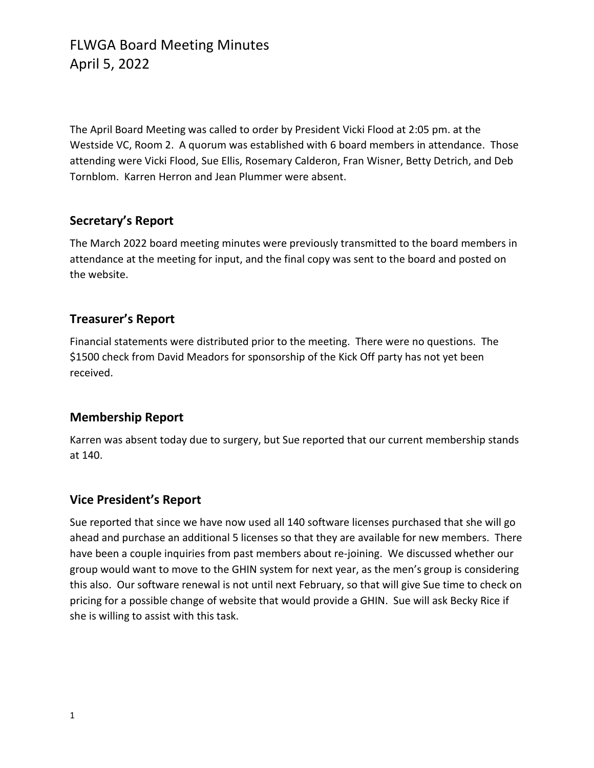The April Board Meeting was called to order by President Vicki Flood at 2:05 pm. at the Westside VC, Room 2. A quorum was established with 6 board members in attendance. Those attending were Vicki Flood, Sue Ellis, Rosemary Calderon, Fran Wisner, Betty Detrich, and Deb Tornblom. Karren Herron and Jean Plummer were absent.

### **Secretary's Report**

The March 2022 board meeting minutes were previously transmitted to the board members in attendance at the meeting for input, and the final copy was sent to the board and posted on the website.

### **Treasurer's Report**

Financial statements were distributed prior to the meeting. There were no questions. The \$1500 check from David Meadors for sponsorship of the Kick Off party has not yet been received.

#### **Membership Report**

Karren was absent today due to surgery, but Sue reported that our current membership stands at 140.

### **Vice President's Report**

Sue reported that since we have now used all 140 software licenses purchased that she will go ahead and purchase an additional 5 licenses so that they are available for new members. There have been a couple inquiries from past members about re-joining. We discussed whether our group would want to move to the GHIN system for next year, as the men's group is considering this also. Our software renewal is not until next February, so that will give Sue time to check on pricing for a possible change of website that would provide a GHIN. Sue will ask Becky Rice if she is willing to assist with this task.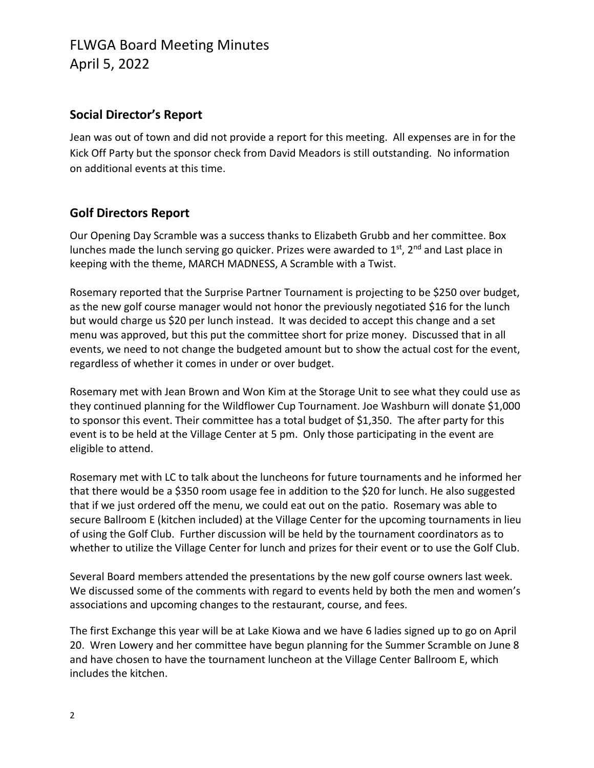## FLWGA Board Meeting Minutes April 5, 2022

### **Social Director's Report**

Jean was out of town and did not provide a report for this meeting. All expenses are in for the Kick Off Party but the sponsor check from David Meadors is still outstanding. No information on additional events at this time.

#### **Golf Directors Report**

Our Opening Day Scramble was a success thanks to Elizabeth Grubb and her committee. Box lunches made the lunch serving go quicker. Prizes were awarded to  $1<sup>st</sup>$ ,  $2<sup>nd</sup>$  and Last place in keeping with the theme, MARCH MADNESS, A Scramble with a Twist.

Rosemary reported that the Surprise Partner Tournament is projecting to be \$250 over budget, as the new golf course manager would not honor the previously negotiated \$16 for the lunch but would charge us \$20 per lunch instead. It was decided to accept this change and a set menu was approved, but this put the committee short for prize money. Discussed that in all events, we need to not change the budgeted amount but to show the actual cost for the event, regardless of whether it comes in under or over budget.

Rosemary met with Jean Brown and Won Kim at the Storage Unit to see what they could use as they continued planning for the Wildflower Cup Tournament. Joe Washburn will donate \$1,000 to sponsor this event. Their committee has a total budget of \$1,350. The after party for this event is to be held at the Village Center at 5 pm. Only those participating in the event are eligible to attend.

Rosemary met with LC to talk about the luncheons for future tournaments and he informed her that there would be a \$350 room usage fee in addition to the \$20 for lunch. He also suggested that if we just ordered off the menu, we could eat out on the patio. Rosemary was able to secure Ballroom E (kitchen included) at the Village Center for the upcoming tournaments in lieu of using the Golf Club. Further discussion will be held by the tournament coordinators as to whether to utilize the Village Center for lunch and prizes for their event or to use the Golf Club.

Several Board members attended the presentations by the new golf course owners last week. We discussed some of the comments with regard to events held by both the men and women's associations and upcoming changes to the restaurant, course, and fees.

The first Exchange this year will be at Lake Kiowa and we have 6 ladies signed up to go on April 20. Wren Lowery and her committee have begun planning for the Summer Scramble on June 8 and have chosen to have the tournament luncheon at the Village Center Ballroom E, which includes the kitchen.